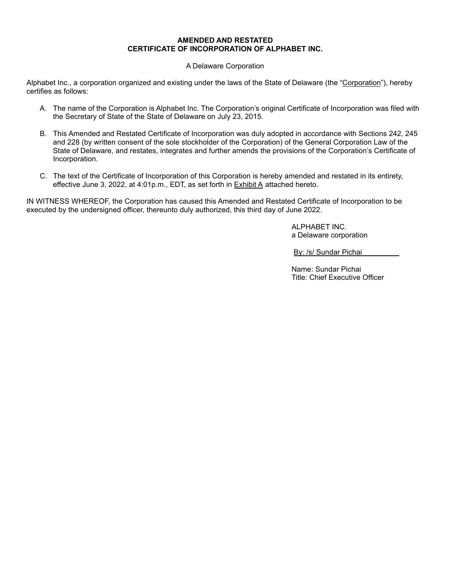#### **AMENDED AND RESTATED CERTIFICATE OF INCORPORATION OF ALPHABET INC.**

#### A Delaware Corporation

Alphabet Inc., a corporation organized and existing under the laws of the State of Delaware (the "Corporation"), hereby certifies as follows:

- A. The name of the Corporation is Alphabet Inc. The Corporation's original Certificate of Incorporation was filed with the Secretary of State of the State of Delaware on July 23, 2015.
- B. This Amended and Restated Certificate of Incorporation was duly adopted in accordance with Sections 242, 245 and 228 (by written consent of the sole stockholder of the Corporation) of the General Corporation Law of the State of Delaware, and restates, integrates and further amends the provisions of the Corporation's Certificate of Incorporation.
- C. The text of the Certificate of Incorporation of this Corporation is hereby amended and restated in its entirety, effective June 3, 2022, at 4:01p.m., EDT, as set forth in Exhibit A attached hereto.

IN WITNESS WHEREOF, the Corporation has caused this Amended and Restated Certificate of Incorporation to be executed by the undersigned officer, thereunto duly authorized, this third day of June 2022.

> ALPHABET INC. a Delaware corporation

By: /s/ Sundar Pichai

Name: Sundar Pichai Title: Chief Executive Officer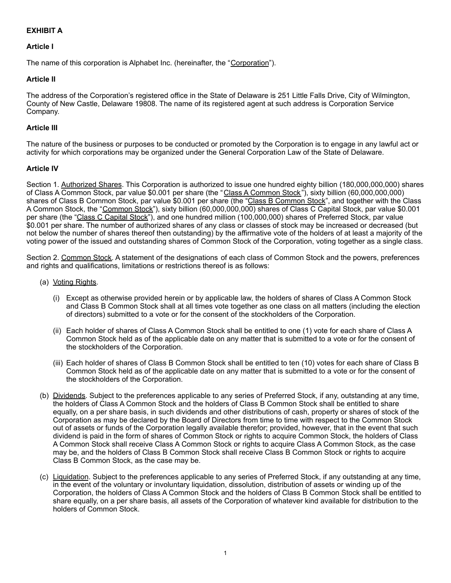# **EXHIBIT A**

## **Article I**

The name of this corporation is Alphabet Inc. (hereinafter, the "Corporation").

## **Article II**

The address of the Corporation's registered office in the State of Delaware is 251 Little Falls Drive, City of Wilmington, County of New Castle, Delaware 19808. The name of its registered agent at such address is Corporation Service Company.

#### **Article III**

The nature of the business or purposes to be conducted or promoted by the Corporation is to engage in any lawful act or activity for which corporations may be organized under the General Corporation Law of the State of Delaware.

#### **Article IV**

Section 1. Authorized Shares. This Corporation is authorized to issue one hundred eighty billion (180,000,000,000) shares of Class A Common Stock, par value \$0.001 per share (the "Class A Common Stock"), sixty billion (60,000,000,000) shares of Class B Common Stock, par value \$0.001 per share (the "Class B Common Stock", and together with the Class A Common Stock, the "Common Stock"), sixty billion (60,000,000,000) shares of Class C Capital Stock, par value \$0.001 per share (the "Class C Capital Stock"), and one hundred million (100,000,000) shares of Preferred Stock, par value \$0.001 per share. The number of authorized shares of any class or classes of stock may be increased or decreased (but not below the number of shares thereof then outstanding) by the affirmative vote of the holders of at least a majority of the voting power of the issued and outstanding shares of Common Stock of the Corporation, voting together as a single class.

Section 2. Common Stock. A statement of the designations of each class of Common Stock and the powers, preferences and rights and qualifications, limitations or restrictions thereof is as follows:

- (a) Voting Rights.
	- (i) Except as otherwise provided herein or by applicable law, the holders of shares of Class A Common Stock and Class B Common Stock shall at all times vote together as one class on all matters (including the election of directors) submitted to a vote or for the consent of the stockholders of the Corporation.
	- (ii) Each holder of shares of Class A Common Stock shall be entitled to one (1) vote for each share of Class A Common Stock held as of the applicable date on any matter that is submitted to a vote or for the consent of the stockholders of the Corporation.
	- (iii) Each holder of shares of Class B Common Stock shall be entitled to ten (10) votes for each share of Class B Common Stock held as of the applicable date on any matter that is submitted to a vote or for the consent of the stockholders of the Corporation.
- (b) Dividends. Subject to the preferences applicable to any series of Preferred Stock, if any, outstanding at any time, the holders of Class A Common Stock and the holders of Class B Common Stock shall be entitled to share equally, on a per share basis, in such dividends and other distributions of cash, property or shares of stock of the Corporation as may be declared by the Board of Directors from time to time with respect to the Common Stock out of assets or funds of the Corporation legally available therefor; provided, however, that in the event that such dividend is paid in the form of shares of Common Stock or rights to acquire Common Stock, the holders of Class A Common Stock shall receive Class A Common Stock or rights to acquire Class A Common Stock, as the case may be, and the holders of Class B Common Stock shall receive Class B Common Stock or rights to acquire Class B Common Stock, as the case may be.
- (c) Liquidation. Subject to the preferences applicable to any series of Preferred Stock, if any outstanding at any time, in the event of the voluntary or involuntary liquidation, dissolution, distribution of assets or winding up of the Corporation, the holders of Class A Common Stock and the holders of Class B Common Stock shall be entitled to share equally, on a per share basis, all assets of the Corporation of whatever kind available for distribution to the holders of Common Stock.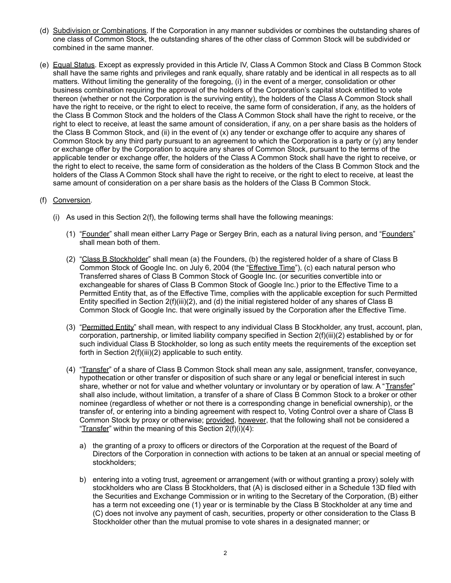- (d) Subdivision or Combinations. If the Corporation in any manner subdivides or combines the outstanding shares of one class of Common Stock, the outstanding shares of the other class of Common Stock will be subdivided or combined in the same manner.
- (e) Equal Status. Except as expressly provided in this Article IV, Class A Common Stock and Class B Common Stock shall have the same rights and privileges and rank equally, share ratably and be identical in all respects as to all matters. Without limiting the generality of the foregoing, (i) in the event of a merger, consolidation or other business combination requiring the approval of the holders of the Corporation's capital stock entitled to vote thereon (whether or not the Corporation is the surviving entity), the holders of the Class A Common Stock shall have the right to receive, or the right to elect to receive, the same form of consideration, if any, as the holders of the Class B Common Stock and the holders of the Class A Common Stock shall have the right to receive, or the right to elect to receive, at least the same amount of consideration, if any, on a per share basis as the holders of the Class B Common Stock, and (ii) in the event of (x) any tender or exchange offer to acquire any shares of Common Stock by any third party pursuant to an agreement to which the Corporation is a party or (y) any tender or exchange offer by the Corporation to acquire any shares of Common Stock, pursuant to the terms of the applicable tender or exchange offer, the holders of the Class A Common Stock shall have the right to receive, or the right to elect to receive, the same form of consideration as the holders of the Class B Common Stock and the holders of the Class A Common Stock shall have the right to receive, or the right to elect to receive, at least the same amount of consideration on a per share basis as the holders of the Class B Common Stock.

## (f) Conversion.

- (i) As used in this Section 2(f), the following terms shall have the following meanings:
	- (1) "Founder" shall mean either Larry Page or Sergey Brin, each as a natural living person, and "Founders" shall mean both of them.
	- (2) "Class B Stockholder" shall mean (a) the Founders, (b) the registered holder of a share of Class B Common Stock of Google Inc. on July 6, 2004 (the "Effective Time"), (c) each natural person who Transferred shares of Class B Common Stock of Google Inc. (or securities convertible into or exchangeable for shares of Class B Common Stock of Google Inc.) prior to the Effective Time to a Permitted Entity that, as of the Effective Time, complies with the applicable exception for such Permitted Entity specified in Section 2(f)(iii)(2), and (d) the initial registered holder of any shares of Class B Common Stock of Google Inc. that were originally issued by the Corporation after the Effective Time.
	- (3) "Permitted Entity" shall mean, with respect to any individual Class B Stockholder, any trust, account, plan, corporation, partnership, or limited liability company specified in Section 2(f)(iii)(2) established by or for such individual Class B Stockholder, so long as such entity meets the requirements of the exception set forth in Section 2(f)(iii)(2) applicable to such entity.
	- (4) "Transfer" of a share of Class B Common Stock shall mean any sale, assignment, transfer, conveyance, hypothecation or other transfer or disposition of such share or any legal or beneficial interest in such share, whether or not for value and whether voluntary or involuntary or by operation of law. A "Transfer" shall also include, without limitation, a transfer of a share of Class B Common Stock to a broker or other nominee (regardless of whether or not there is a corresponding change in beneficial ownership), or the transfer of, or entering into a binding agreement with respect to, Voting Control over a share of Class B Common Stock by proxy or otherwise; provided, however, that the following shall not be considered a "Transfer" within the meaning of this Section  $2(f)(i)(4)$ :
		- a) the granting of a proxy to officers or directors of the Corporation at the request of the Board of Directors of the Corporation in connection with actions to be taken at an annual or special meeting of stockholders;
		- b) entering into a voting trust, agreement or arrangement (with or without granting a proxy) solely with stockholders who are Class B Stockholders, that (A) is disclosed either in a Schedule 13D filed with the Securities and Exchange Commission or in writing to the Secretary of the Corporation, (B) either has a term not exceeding one (1) year or is terminable by the Class B Stockholder at any time and (C) does not involve any payment of cash, securities, property or other consideration to the Class B Stockholder other than the mutual promise to vote shares in a designated manner; or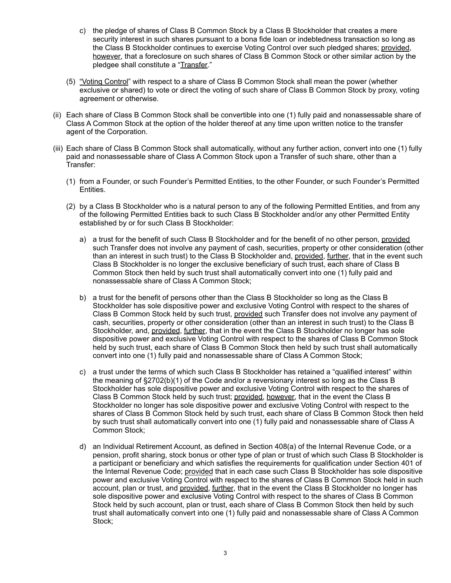- c) the pledge of shares of Class B Common Stock by a Class B Stockholder that creates a mere security interest in such shares pursuant to a bona fide loan or indebtedness transaction so long as the Class B Stockholder continues to exercise Voting Control over such pledged shares; provided, however, that a foreclosure on such shares of Class B Common Stock or other similar action by the pledgee shall constitute a "Transfer."
- (5) "Voting Control" with respect to a share of Class B Common Stock shall mean the power (whether exclusive or shared) to vote or direct the voting of such share of Class B Common Stock by proxy, voting agreement or otherwise.
- (ii) Each share of Class B Common Stock shall be convertible into one (1) fully paid and nonassessable share of Class A Common Stock at the option of the holder thereof at any time upon written notice to the transfer agent of the Corporation.
- (iii) Each share of Class B Common Stock shall automatically, without any further action, convert into one (1) fully paid and nonassessable share of Class A Common Stock upon a Transfer of such share, other than a Transfer:
	- (1) from a Founder, or such Founder's Permitted Entities, to the other Founder, or such Founder's Permitted Entities.
	- (2) by a Class B Stockholder who is a natural person to any of the following Permitted Entities, and from any of the following Permitted Entities back to such Class B Stockholder and/or any other Permitted Entity established by or for such Class B Stockholder:
		- a) a trust for the benefit of such Class B Stockholder and for the benefit of no other person, provided such Transfer does not involve any payment of cash, securities, property or other consideration (other than an interest in such trust) to the Class B Stockholder and, provided, further, that in the event such Class B Stockholder is no longer the exclusive beneficiary of such trust, each share of Class B Common Stock then held by such trust shall automatically convert into one (1) fully paid and nonassessable share of Class A Common Stock;
		- b) a trust for the benefit of persons other than the Class B Stockholder so long as the Class B Stockholder has sole dispositive power and exclusive Voting Control with respect to the shares of Class B Common Stock held by such trust, provided such Transfer does not involve any payment of cash, securities, property or other consideration (other than an interest in such trust) to the Class B Stockholder, and, provided, further, that in the event the Class B Stockholder no longer has sole dispositive power and exclusive Voting Control with respect to the shares of Class B Common Stock held by such trust, each share of Class B Common Stock then held by such trust shall automatically convert into one (1) fully paid and nonassessable share of Class A Common Stock;
		- c) a trust under the terms of which such Class B Stockholder has retained a "qualified interest" within the meaning of §2702(b)(1) of the Code and/or a reversionary interest so long as the Class B Stockholder has sole dispositive power and exclusive Voting Control with respect to the shares of Class B Common Stock held by such trust; provided, however, that in the event the Class B Stockholder no longer has sole dispositive power and exclusive Voting Control with respect to the shares of Class B Common Stock held by such trust, each share of Class B Common Stock then held by such trust shall automatically convert into one (1) fully paid and nonassessable share of Class A Common Stock;
		- d) an Individual Retirement Account, as defined in Section 408(a) of the Internal Revenue Code, or a pension, profit sharing, stock bonus or other type of plan or trust of which such Class B Stockholder is a participant or beneficiary and which satisfies the requirements for qualification under Section 401 of the Internal Revenue Code; provided that in each case such Class B Stockholder has sole dispositive power and exclusive Voting Control with respect to the shares of Class B Common Stock held in such account, plan or trust, and provided, further, that in the event the Class B Stockholder no longer has sole dispositive power and exclusive Voting Control with respect to the shares of Class B Common Stock held by such account, plan or trust, each share of Class B Common Stock then held by such trust shall automatically convert into one (1) fully paid and nonassessable share of Class A Common Stock;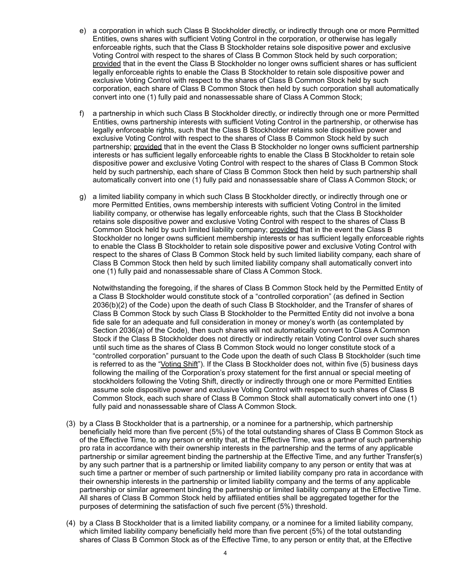- e) a corporation in which such Class B Stockholder directly, or indirectly through one or more Permitted Entities, owns shares with sufficient Voting Control in the corporation, or otherwise has legally enforceable rights, such that the Class B Stockholder retains sole dispositive power and exclusive Voting Control with respect to the shares of Class B Common Stock held by such corporation; provided that in the event the Class B Stockholder no longer owns sufficient shares or has sufficient legally enforceable rights to enable the Class B Stockholder to retain sole dispositive power and exclusive Voting Control with respect to the shares of Class B Common Stock held by such corporation, each share of Class B Common Stock then held by such corporation shall automatically convert into one (1) fully paid and nonassessable share of Class A Common Stock;
- f) a partnership in which such Class B Stockholder directly, or indirectly through one or more Permitted Entities, owns partnership interests with sufficient Voting Control in the partnership, or otherwise has legally enforceable rights, such that the Class B Stockholder retains sole dispositive power and exclusive Voting Control with respect to the shares of Class B Common Stock held by such partnership; provided that in the event the Class B Stockholder no longer owns sufficient partnership interests or has sufficient legally enforceable rights to enable the Class B Stockholder to retain sole dispositive power and exclusive Voting Control with respect to the shares of Class B Common Stock held by such partnership, each share of Class B Common Stock then held by such partnership shall automatically convert into one (1) fully paid and nonassessable share of Class A Common Stock; or
- g) a limited liability company in which such Class B Stockholder directly, or indirectly through one or more Permitted Entities, owns membership interests with sufficient Voting Control in the limited liability company, or otherwise has legally enforceable rights, such that the Class B Stockholder retains sole dispositive power and exclusive Voting Control with respect to the shares of Class B Common Stock held by such limited liability company; provided that in the event the Class B Stockholder no longer owns sufficient membership interests or has sufficient legally enforceable rights to enable the Class B Stockholder to retain sole dispositive power and exclusive Voting Control with respect to the shares of Class B Common Stock held by such limited liability company, each share of Class B Common Stock then held by such limited liability company shall automatically convert into one (1) fully paid and nonassessable share of Class A Common Stock.

Notwithstanding the foregoing, if the shares of Class B Common Stock held by the Permitted Entity of a Class B Stockholder would constitute stock of a "controlled corporation" (as defined in Section 2036(b)(2) of the Code) upon the death of such Class B Stockholder, and the Transfer of shares of Class B Common Stock by such Class B Stockholder to the Permitted Entity did not involve a bona fide sale for an adequate and full consideration in money or money's worth (as contemplated by Section 2036(a) of the Code), then such shares will not automatically convert to Class A Common Stock if the Class B Stockholder does not directly or indirectly retain Voting Control over such shares until such time as the shares of Class B Common Stock would no longer constitute stock of a "controlled corporation" pursuant to the Code upon the death of such Class B Stockholder (such time is referred to as the "Voting Shift"). If the Class B Stockholder does not, within five (5) business days following the mailing of the Corporation's proxy statement for the first annual or special meeting of stockholders following the Voting Shift, directly or indirectly through one or more Permitted Entities assume sole dispositive power and exclusive Voting Control with respect to such shares of Class B Common Stock, each such share of Class B Common Stock shall automatically convert into one (1) fully paid and nonassessable share of Class A Common Stock.

- (3) by a Class B Stockholder that is a partnership, or a nominee for a partnership, which partnership beneficially held more than five percent (5%) of the total outstanding shares of Class B Common Stock as of the Effective Time, to any person or entity that, at the Effective Time, was a partner of such partnership pro rata in accordance with their ownership interests in the partnership and the terms of any applicable partnership or similar agreement binding the partnership at the Effective Time, and any further Transfer(s) by any such partner that is a partnership or limited liability company to any person or entity that was at such time a partner or member of such partnership or limited liability company pro rata in accordance with their ownership interests in the partnership or limited liability company and the terms of any applicable partnership or similar agreement binding the partnership or limited liability company at the Effective Time. All shares of Class B Common Stock held by affiliated entities shall be aggregated together for the purposes of determining the satisfaction of such five percent (5%) threshold.
- (4) by a Class B Stockholder that is a limited liability company, or a nominee for a limited liability company, which limited liability company beneficially held more than five percent (5%) of the total outstanding shares of Class B Common Stock as of the Effective Time, to any person or entity that, at the Effective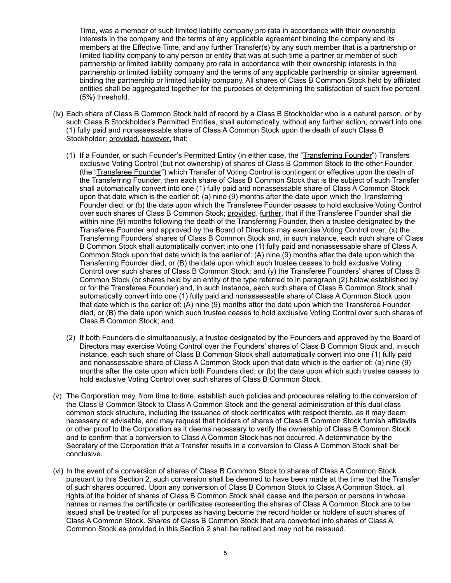Time, was a member of such limited liability company pro rata in accordance with their ownership interests in the company and the terms of any applicable agreement binding the company and its members at the Effective Time, and any further Transfer(s) by any such member that is a partnership or limited liability company to any person or entity that was at such time a partner or member of such partnership or limited liability company pro rata in accordance with their ownership interests in the partnership or limited liability company and the terms of any applicable partnership or similar agreement binding the partnership or limited liability company. All shares of Class B Common Stock held by affiliated entities shall be aggregated together for the purposes of determining the satisfaction of such five percent (5%) threshold.

- (iv) Each share of Class B Common Stock held of record by a Class B Stockholder who is a natural person, or by such Class B Stockholder's Permitted Entities, shall automatically, without any further action, convert into one (1) fully paid and nonassessable share of Class A Common Stock upon the death of such Class B Stockholder; provided, however, that:
	- (1) If a Founder, or such Founder's Permitted Entity (in either case, the "Transferring Founder") Transfers exclusive Voting Control (but not ownership) of shares of Class B Common Stock to the other Founder (the "Transferee Founder") which Transfer of Voting Control is contingent or effective upon the death of the Transferring Founder, then each share of Class B Common Stock that is the subject of such Transfer shall automatically convert into one (1) fully paid and nonassessable share of Class A Common Stock upon that date which is the earlier of: (a) nine (9) months after the date upon which the Transferring Founder died, or (b) the date upon which the Transferee Founder ceases to hold exclusive Voting Control over such shares of Class B Common Stock; provided, further, that if the Transferee Founder shall die within nine (9) months following the death of the Transferring Founder, then a trustee designated by the Transferee Founder and approved by the Board of Directors may exercise Voting Control over: (x) the Transferring Founders' shares of Class B Common Stock and, in such instance, each such share of Class B Common Stock shall automatically convert into one (1) fully paid and nonassessable share of Class A Common Stock upon that date which is the earlier of: (A) nine (9) months after the date upon which the Transferring Founder died, or (B) the date upon which such trustee ceases to hold exclusive Voting Control over such shares of Class B Common Stock; and (y) the Transferee Founders' shares of Class B Common Stock (or shares held by an entity of the type referred to in paragraph (2) below established by or for the Transferee Founder) and, in such instance, each such share of Class B Common Stock shall automatically convert into one (1) fully paid and nonassessable share of Class A Common Stock upon that date which is the earlier of: (A) nine (9) months after the date upon which the Transferee Founder died, or (B) the date upon which such trustee ceases to hold exclusive Voting Control over such shares of Class B Common Stock; and
	- (2) If both Founders die simultaneously, a trustee designated by the Founders and approved by the Board of Directors may exercise Voting Control over the Founders' shares of Class B Common Stock and, in such instance, each such share of Class B Common Stock shall automatically convert into one (1) fully paid and nonassessable share of Class A Common Stock upon that date which is the earlier of: (a) nine (9) months after the date upon which both Founders died, or (b) the date upon which such trustee ceases to hold exclusive Voting Control over such shares of Class B Common Stock.
- (v) The Corporation may, from time to time, establish such policies and procedures relating to the conversion of the Class B Common Stock to Class A Common Stock and the general administration of this dual class common stock structure, including the issuance of stock certificates with respect thereto, as it may deem necessary or advisable, and may request that holders of shares of Class B Common Stock furnish affidavits or other proof to the Corporation as it deems necessary to verify the ownership of Class B Common Stock and to confirm that a conversion to Class A Common Stock has not occurred. A determination by the Secretary of the Corporation that a Transfer results in a conversion to Class A Common Stock shall be conclusive.
- (vi) In the event of a conversion of shares of Class B Common Stock to shares of Class A Common Stock pursuant to this Section 2, such conversion shall be deemed to have been made at the time that the Transfer of such shares occurred. Upon any conversion of Class B Common Stock to Class A Common Stock, all rights of the holder of shares of Class B Common Stock shall cease and the person or persons in whose names or names the certificate or certificates representing the shares of Class A Common Stock are to be issued shall be treated for all purposes as having become the record holder or holders of such shares of Class A Common Stock. Shares of Class B Common Stock that are converted into shares of Class A Common Stock as provided in this Section 2 shall be retired and may not be reissued.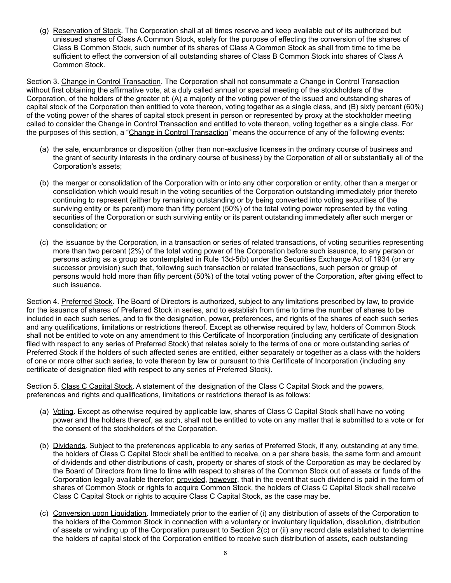(g) Reservation of Stock. The Corporation shall at all times reserve and keep available out of its authorized but unissued shares of Class A Common Stock, solely for the purpose of effecting the conversion of the shares of Class B Common Stock, such number of its shares of Class A Common Stock as shall from time to time be sufficient to effect the conversion of all outstanding shares of Class B Common Stock into shares of Class A Common Stock.

Section 3. Change in Control Transaction. The Corporation shall not consummate a Change in Control Transaction without first obtaining the affirmative vote, at a duly called annual or special meeting of the stockholders of the Corporation, of the holders of the greater of: (A) a majority of the voting power of the issued and outstanding shares of capital stock of the Corporation then entitled to vote thereon, voting together as a single class, and (B) sixty percent (60%) of the voting power of the shares of capital stock present in person or represented by proxy at the stockholder meeting called to consider the Change in Control Transaction and entitled to vote thereon, voting together as a single class. For the purposes of this section, a "Change in Control Transaction" means the occurrence of any of the following events:

- (a) the sale, encumbrance or disposition (other than non-exclusive licenses in the ordinary course of business and the grant of security interests in the ordinary course of business) by the Corporation of all or substantially all of the Corporation's assets;
- (b) the merger or consolidation of the Corporation with or into any other corporation or entity, other than a merger or consolidation which would result in the voting securities of the Corporation outstanding immediately prior thereto continuing to represent (either by remaining outstanding or by being converted into voting securities of the surviving entity or its parent) more than fifty percent (50%) of the total voting power represented by the voting securities of the Corporation or such surviving entity or its parent outstanding immediately after such merger or consolidation; or
- (c) the issuance by the Corporation, in a transaction or series of related transactions, of voting securities representing more than two percent (2%) of the total voting power of the Corporation before such issuance, to any person or persons acting as a group as contemplated in Rule 13d-5(b) under the Securities Exchange Act of 1934 (or any successor provision) such that, following such transaction or related transactions, such person or group of persons would hold more than fifty percent (50%) of the total voting power of the Corporation, after giving effect to such issuance.

Section 4. Preferred Stock. The Board of Directors is authorized, subject to any limitations prescribed by law, to provide for the issuance of shares of Preferred Stock in series, and to establish from time to time the number of shares to be included in each such series, and to fix the designation, power, preferences, and rights of the shares of each such series and any qualifications, limitations or restrictions thereof. Except as otherwise required by law, holders of Common Stock shall not be entitled to vote on any amendment to this Certificate of Incorporation (including any certificate of designation filed with respect to any series of Preferred Stock) that relates solely to the terms of one or more outstanding series of Preferred Stock if the holders of such affected series are entitled, either separately or together as a class with the holders of one or more other such series, to vote thereon by law or pursuant to this Certificate of Incorporation (including any certificate of designation filed with respect to any series of Preferred Stock).

Section 5. Class C Capital Stock. A statement of the designation of the Class C Capital Stock and the powers, preferences and rights and qualifications, limitations or restrictions thereof is as follows:

- (a) Voting. Except as otherwise required by applicable law, shares of Class C Capital Stock shall have no voting power and the holders thereof, as such, shall not be entitled to vote on any matter that is submitted to a vote or for the consent of the stockholders of the Corporation.
- (b) Dividends. Subject to the preferences applicable to any series of Preferred Stock, if any, outstanding at any time, the holders of Class C Capital Stock shall be entitled to receive, on a per share basis, the same form and amount of dividends and other distributions of cash, property or shares of stock of the Corporation as may be declared by the Board of Directors from time to time with respect to shares of the Common Stock out of assets or funds of the Corporation legally available therefor; provided, however, that in the event that such dividend is paid in the form of shares of Common Stock or rights to acquire Common Stock, the holders of Class C Capital Stock shall receive Class C Capital Stock or rights to acquire Class C Capital Stock, as the case may be.
- (c) Conversion upon Liquidation. Immediately prior to the earlier of (i) any distribution of assets of the Corporation to the holders of the Common Stock in connection with a voluntary or involuntary liquidation, dissolution, distribution of assets or winding up of the Corporation pursuant to Section 2(c) or (ii) any record date established to determine the holders of capital stock of the Corporation entitled to receive such distribution of assets, each outstanding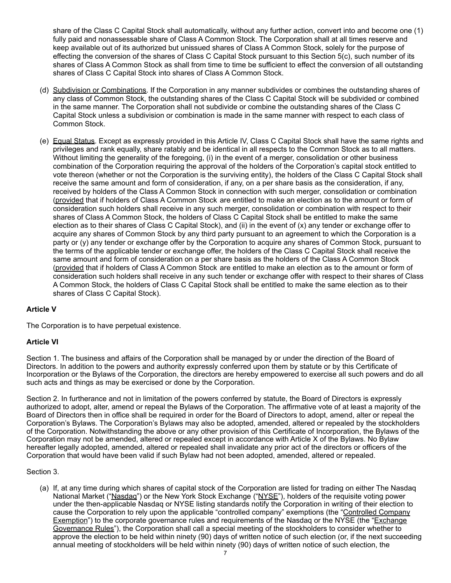share of the Class C Capital Stock shall automatically, without any further action, convert into and become one (1) fully paid and nonassessable share of Class A Common Stock. The Corporation shall at all times reserve and keep available out of its authorized but unissued shares of Class A Common Stock, solely for the purpose of effecting the conversion of the shares of Class C Capital Stock pursuant to this Section 5(c), such number of its shares of Class A Common Stock as shall from time to time be sufficient to effect the conversion of all outstanding shares of Class C Capital Stock into shares of Class A Common Stock.

- (d) Subdivision or Combinations. If the Corporation in any manner subdivides or combines the outstanding shares of any class of Common Stock, the outstanding shares of the Class C Capital Stock will be subdivided or combined in the same manner. The Corporation shall not subdivide or combine the outstanding shares of the Class C Capital Stock unless a subdivision or combination is made in the same manner with respect to each class of Common Stock.
- (e) Equal Status. Except as expressly provided in this Article IV, Class C Capital Stock shall have the same rights and privileges and rank equally, share ratably and be identical in all respects to the Common Stock as to all matters. Without limiting the generality of the foregoing, (i) in the event of a merger, consolidation or other business combination of the Corporation requiring the approval of the holders of the Corporation's capital stock entitled to vote thereon (whether or not the Corporation is the surviving entity), the holders of the Class C Capital Stock shall receive the same amount and form of consideration, if any, on a per share basis as the consideration, if any, received by holders of the Class A Common Stock in connection with such merger, consolidation or combination (provided that if holders of Class A Common Stock are entitled to make an election as to the amount or form of consideration such holders shall receive in any such merger, consolidation or combination with respect to their shares of Class A Common Stock, the holders of Class C Capital Stock shall be entitled to make the same election as to their shares of Class C Capital Stock), and (ii) in the event of (x) any tender or exchange offer to acquire any shares of Common Stock by any third party pursuant to an agreement to which the Corporation is a party or (y) any tender or exchange offer by the Corporation to acquire any shares of Common Stock, pursuant to the terms of the applicable tender or exchange offer, the holders of the Class C Capital Stock shall receive the same amount and form of consideration on a per share basis as the holders of the Class A Common Stock (provided that if holders of Class A Common Stock are entitled to make an election as to the amount or form of consideration such holders shall receive in any such tender or exchange offer with respect to their shares of Class A Common Stock, the holders of Class C Capital Stock shall be entitled to make the same election as to their shares of Class C Capital Stock).

# **Article V**

The Corporation is to have perpetual existence.

## **Article VI**

Section 1. The business and affairs of the Corporation shall be managed by or under the direction of the Board of Directors. In addition to the powers and authority expressly conferred upon them by statute or by this Certificate of Incorporation or the Bylaws of the Corporation, the directors are hereby empowered to exercise all such powers and do all such acts and things as may be exercised or done by the Corporation.

Section 2. In furtherance and not in limitation of the powers conferred by statute, the Board of Directors is expressly authorized to adopt, alter, amend or repeal the Bylaws of the Corporation. The affirmative vote of at least a majority of the Board of Directors then in office shall be required in order for the Board of Directors to adopt, amend, alter or repeal the Corporation's Bylaws. The Corporation's Bylaws may also be adopted, amended, altered or repealed by the stockholders of the Corporation. Notwithstanding the above or any other provision of this Certificate of Incorporation, the Bylaws of the Corporation may not be amended, altered or repealed except in accordance with Article X of the Bylaws. No Bylaw hereafter legally adopted, amended, altered or repealed shall invalidate any prior act of the directors or officers of the Corporation that would have been valid if such Bylaw had not been adopted, amended, altered or repealed.

## Section 3.

(a) If, at any time during which shares of capital stock of the Corporation are listed for trading on either The Nasdaq National Market ("Nasdaq") or the New York Stock Exchange ("NYSE"), holders of the requisite voting power under the then-applicable Nasdaq or NYSE listing standards notify the Corporation in writing of their election to cause the Corporation to rely upon the applicable "controlled company" exemptions (the "Controlled Company Exemption") to the corporate governance rules and requirements of the Nasdaq or the NYSE (the "Exchange Governance Rules"), the Corporation shall call a special meeting of the stockholders to consider whether to approve the election to be held within ninety (90) days of written notice of such election (or, if the next succeeding annual meeting of stockholders will be held within ninety (90) days of written notice of such election, the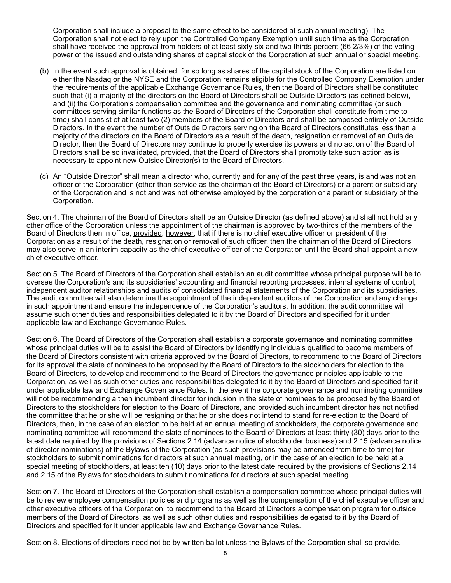Corporation shall include a proposal to the same effect to be considered at such annual meeting). The Corporation shall not elect to rely upon the Controlled Company Exemption until such time as the Corporation shall have received the approval from holders of at least sixty-six and two thirds percent (66 2/3%) of the voting power of the issued and outstanding shares of capital stock of the Corporation at such annual or special meeting.

- (b) In the event such approval is obtained, for so long as shares of the capital stock of the Corporation are listed on either the Nasdaq or the NYSE and the Corporation remains eligible for the Controlled Company Exemption under the requirements of the applicable Exchange Governance Rules, then the Board of Directors shall be constituted such that (i) a majority of the directors on the Board of Directors shall be Outside Directors (as defined below), and (ii) the Corporation's compensation committee and the governance and nominating committee (or such committees serving similar functions as the Board of Directors of the Corporation shall constitute from time to time) shall consist of at least two (2) members of the Board of Directors and shall be composed entirely of Outside Directors. In the event the number of Outside Directors serving on the Board of Directors constitutes less than a majority of the directors on the Board of Directors as a result of the death, resignation or removal of an Outside Director, then the Board of Directors may continue to properly exercise its powers and no action of the Board of Directors shall be so invalidated, provided, that the Board of Directors shall promptly take such action as is necessary to appoint new Outside Director(s) to the Board of Directors.
- (c) An "Outside Director" shall mean a director who, currently and for any of the past three years, is and was not an officer of the Corporation (other than service as the chairman of the Board of Directors) or a parent or subsidiary of the Corporation and is not and was not otherwise employed by the corporation or a parent or subsidiary of the Corporation.

Section 4. The chairman of the Board of Directors shall be an Outside Director (as defined above) and shall not hold any other office of the Corporation unless the appointment of the chairman is approved by two-thirds of the members of the Board of Directors then in office, provided, however, that if there is no chief executive officer or president of the Corporation as a result of the death, resignation or removal of such officer, then the chairman of the Board of Directors may also serve in an interim capacity as the chief executive officer of the Corporation until the Board shall appoint a new chief executive officer.

Section 5. The Board of Directors of the Corporation shall establish an audit committee whose principal purpose will be to oversee the Corporation's and its subsidiaries' accounting and financial reporting processes, internal systems of control, independent auditor relationships and audits of consolidated financial statements of the Corporation and its subsidiaries. The audit committee will also determine the appointment of the independent auditors of the Corporation and any change in such appointment and ensure the independence of the Corporation's auditors. In addition, the audit committee will assume such other duties and responsibilities delegated to it by the Board of Directors and specified for it under applicable law and Exchange Governance Rules.

Section 6. The Board of Directors of the Corporation shall establish a corporate governance and nominating committee whose principal duties will be to assist the Board of Directors by identifying individuals qualified to become members of the Board of Directors consistent with criteria approved by the Board of Directors, to recommend to the Board of Directors for its approval the slate of nominees to be proposed by the Board of Directors to the stockholders for election to the Board of Directors, to develop and recommend to the Board of Directors the governance principles applicable to the Corporation, as well as such other duties and responsibilities delegated to it by the Board of Directors and specified for it under applicable law and Exchange Governance Rules. In the event the corporate governance and nominating committee will not be recommending a then incumbent director for inclusion in the slate of nominees to be proposed by the Board of Directors to the stockholders for election to the Board of Directors, and provided such incumbent director has not notified the committee that he or she will be resigning or that he or she does not intend to stand for re-election to the Board of Directors, then, in the case of an election to be held at an annual meeting of stockholders, the corporate governance and nominating committee will recommend the slate of nominees to the Board of Directors at least thirty (30) days prior to the latest date required by the provisions of Sections 2.14 (advance notice of stockholder business) and 2.15 (advance notice of director nominations) of the Bylaws of the Corporation (as such provisions may be amended from time to time) for stockholders to submit nominations for directors at such annual meeting, or in the case of an election to be held at a special meeting of stockholders, at least ten (10) days prior to the latest date required by the provisions of Sections 2.14 and 2.15 of the Bylaws for stockholders to submit nominations for directors at such special meeting.

Section 7. The Board of Directors of the Corporation shall establish a compensation committee whose principal duties will be to review employee compensation policies and programs as well as the compensation of the chief executive officer and other executive officers of the Corporation, to recommend to the Board of Directors a compensation program for outside members of the Board of Directors, as well as such other duties and responsibilities delegated to it by the Board of Directors and specified for it under applicable law and Exchange Governance Rules.

Section 8. Elections of directors need not be by written ballot unless the Bylaws of the Corporation shall so provide.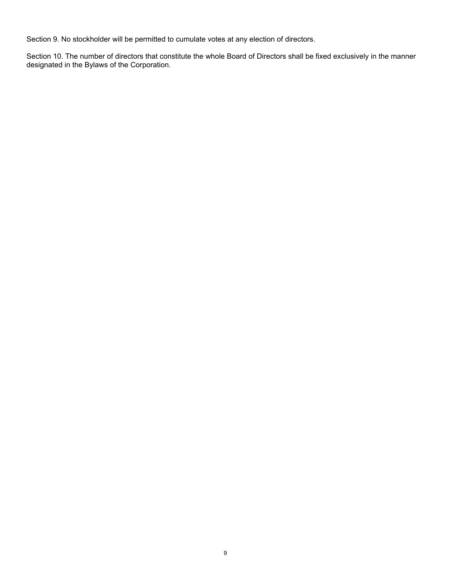Section 9. No stockholder will be permitted to cumulate votes at any election of directors.

Section 10. The number of directors that constitute the whole Board of Directors shall be fixed exclusively in the manner designated in the Bylaws of the Corporation.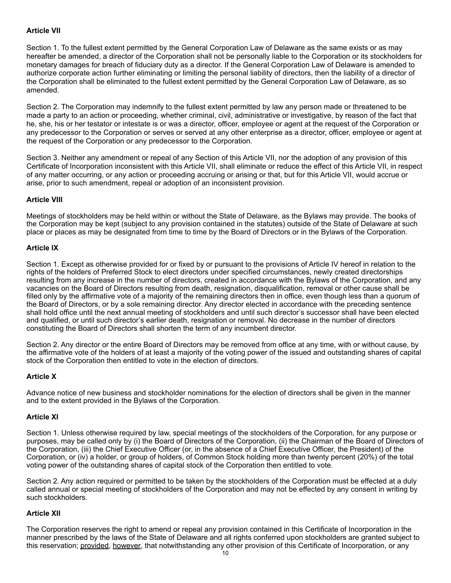# **Article VII**

Section 1. To the fullest extent permitted by the General Corporation Law of Delaware as the same exists or as may hereafter be amended, a director of the Corporation shall not be personally liable to the Corporation or its stockholders for monetary damages for breach of fiduciary duty as a director. If the General Corporation Law of Delaware is amended to authorize corporate action further eliminating or limiting the personal liability of directors, then the liability of a director of the Corporation shall be eliminated to the fullest extent permitted by the General Corporation Law of Delaware, as so amended.

Section 2. The Corporation may indemnify to the fullest extent permitted by law any person made or threatened to be made a party to an action or proceeding, whether criminal, civil, administrative or investigative, by reason of the fact that he, she, his or her testator or intestate is or was a director, officer, employee or agent at the request of the Corporation or any predecessor to the Corporation or serves or served at any other enterprise as a director, officer, employee or agent at the request of the Corporation or any predecessor to the Corporation.

Section 3. Neither any amendment or repeal of any Section of this Article VII, nor the adoption of any provision of this Certificate of Incorporation inconsistent with this Article VII, shall eliminate or reduce the effect of this Article VII, in respect of any matter occurring, or any action or proceeding accruing or arising or that, but for this Article VII, would accrue or arise, prior to such amendment, repeal or adoption of an inconsistent provision.

## **Article VIII**

Meetings of stockholders may be held within or without the State of Delaware, as the Bylaws may provide. The books of the Corporation may be kept (subject to any provision contained in the statutes) outside of the State of Delaware at such place or places as may be designated from time to time by the Board of Directors or in the Bylaws of the Corporation.

#### **Article IX**

Section 1. Except as otherwise provided for or fixed by or pursuant to the provisions of Article IV hereof in relation to the rights of the holders of Preferred Stock to elect directors under specified circumstances, newly created directorships resulting from any increase in the number of directors, created in accordance with the Bylaws of the Corporation, and any vacancies on the Board of Directors resulting from death, resignation, disqualification, removal or other cause shall be filled only by the affirmative vote of a majority of the remaining directors then in office, even though less than a quorum of the Board of Directors, or by a sole remaining director. Any director elected in accordance with the preceding sentence shall hold office until the next annual meeting of stockholders and until such director's successor shall have been elected and qualified, or until such director's earlier death, resignation or removal. No decrease in the number of directors constituting the Board of Directors shall shorten the term of any incumbent director.

Section 2. Any director or the entire Board of Directors may be removed from office at any time, with or without cause, by the affirmative vote of the holders of at least a majority of the voting power of the issued and outstanding shares of capital stock of the Corporation then entitled to vote in the election of directors.

## **Article X**

Advance notice of new business and stockholder nominations for the election of directors shall be given in the manner and to the extent provided in the Bylaws of the Corporation.

#### **Article XI**

Section 1. Unless otherwise required by law, special meetings of the stockholders of the Corporation, for any purpose or purposes, may be called only by (i) the Board of Directors of the Corporation, (ii) the Chairman of the Board of Directors of the Corporation, (iii) the Chief Executive Officer (or, in the absence of a Chief Executive Officer, the President) of the Corporation, or (iv) a holder, or group of holders, of Common Stock holding more than twenty percent (20%) of the total voting power of the outstanding shares of capital stock of the Corporation then entitled to vote.

Section 2. Any action required or permitted to be taken by the stockholders of the Corporation must be effected at a duly called annual or special meeting of stockholders of the Corporation and may not be effected by any consent in writing by such stockholders.

#### **Article XII**

The Corporation reserves the right to amend or repeal any provision contained in this Certificate of Incorporation in the manner prescribed by the laws of the State of Delaware and all rights conferred upon stockholders are granted subject to this reservation; provided, however, that notwithstanding any other provision of this Certificate of Incorporation, or any